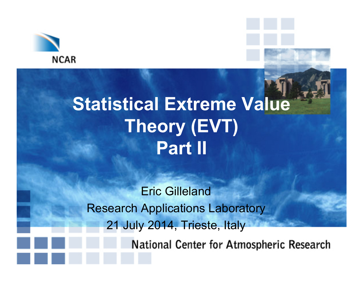

# **Statistical Extreme Value Theory (EVT) Part II**

Eric Gilleland Research Applications Laboratory 21 July 2014, Trieste, Italy

National Center for Atmospheric Research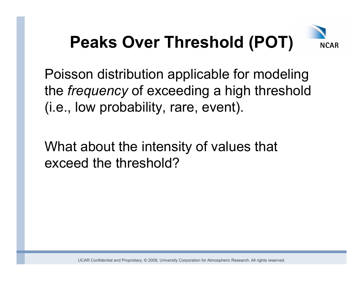

Poisson distribution applicable for modeling the *frequency* of exceeding a high threshold (i.e., low probability, rare, event).

What about the intensity of values that exceed the threshold?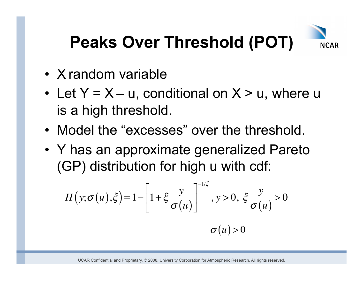

- X random variable
- Let  $Y = X u$ , conditional on  $X > u$ , where u is a high threshold.
- Model the "excesses" over the threshold.
- Y has an approximate generalized Pareto (GP) distribution for high u with cdf:

$$
H(y; \sigma(u), \xi) = 1 - \left[1 + \xi \frac{y}{\sigma(u)}\right]^{-1/\xi}, y > 0, \xi \frac{y}{\sigma(u)} > 0
$$

$$
\sigma(u) > 0
$$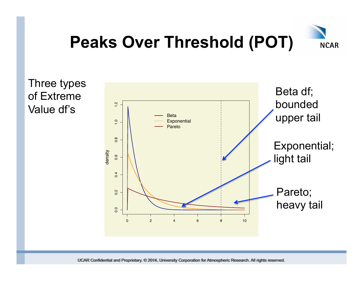

Three types of Extreme Value df's

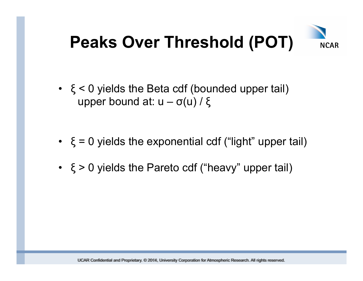

- $\cdot \xi$  < 0 yields the Beta cdf (bounded upper tail) upper bound at:  $u - σ(u) / ξ$
- $\binom{1}{5}$  = 0 yields the exponential cdf ("light" upper tail)
- ξ > 0 yields the Pareto cdf ("heavy" upper tail)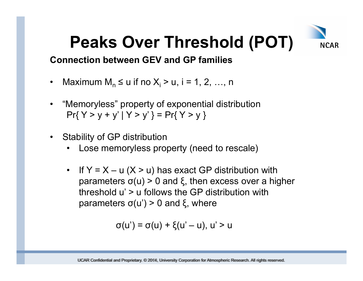

#### **Connection between GEV and GP families**

- Maximum  $M_n \le u$  if no  $X_i > u$ , i = 1, 2, ..., n
- "Memoryless" property of exponential distribution  $Pr{ Y > y + y' | Y > y'} = Pr{ Y > y }$
- Stability of GP distribution
	- Lose memoryless property (need to rescale)
	- If  $Y = X u$   $(X > u)$  has exact GP distribution with parameters σ(u) > 0 and ξ, then excess over a higher threshold u' > u follows the GP distribution with parameters  $σ(u') > 0$  and  $ξ$ , where

$$
\sigma(u') = \sigma(u) + \xi(u'-u), u' > u
$$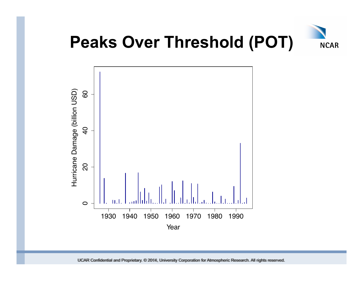

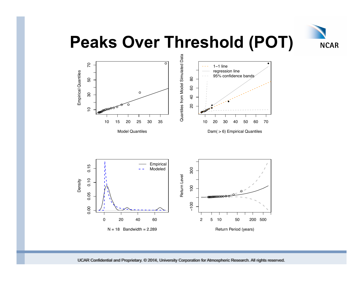

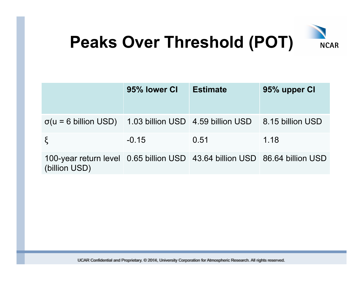

|                                                                                             | 95% lower CI | <b>Estimate</b> | 95% upper CI |
|---------------------------------------------------------------------------------------------|--------------|-----------------|--------------|
| $\sigma(u = 6 \text{ billion USD})$ 1.03 billion USD 4.59 billion USD 8.15 billion USD      |              |                 |              |
| $\xi$                                                                                       | $-0.15$      | 0.51            | 1.18         |
| 100-year return level 0.65 billion USD 43.64 billion USD 86.64 billion USD<br>(billion USD) |              |                 |              |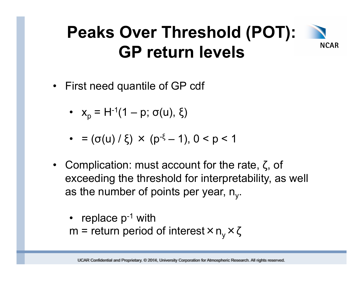#### **Peaks Over Threshold (POT): NCAR GP return levels**

- First need quantile of GP cdf
	- $x_p = H^{-1}(1 p; \sigma(u), \xi)$
	- $\bullet = (\sigma(u)/\xi) \times (p^{-\xi} 1), 0 < p < 1$
- Complication: must account for the rate,  $\zeta$ , of exceeding the threshold for interpretability, as well as the number of points per year,  $n_v$ .
	- replace  $p^{-1}$  with m = return period of interest  $\times n_v \times \zeta$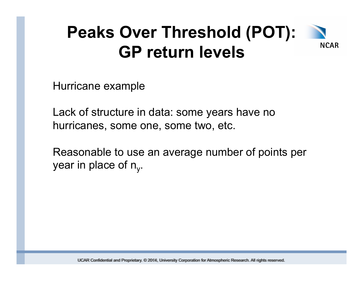#### **Peaks Over Threshold (POT): NCAR GP return levels**

Hurricane example

Lack of structure in data: some years have no hurricanes, some one, some two, etc.

Reasonable to use an average number of points per year in place of  $n_v$ .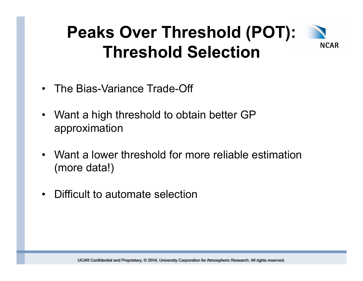#### **Peaks Over Threshold (POT): NCAR Threshold Selection**

- The Bias-Variance Trade-Off
- Want a high threshold to obtain better GP approximation
- Want a lower threshold for more reliable estimation (more data!)
- Difficult to automate selection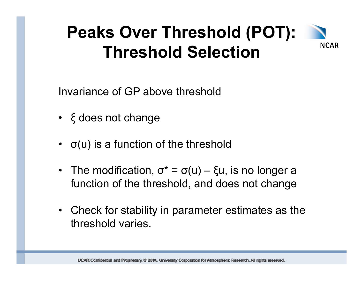#### **Peaks Over Threshold (POT): NCAR Threshold Selection**

Invariance of GP above threshold

- ξ does not change
- $\bullet$   $\sigma(u)$  is a function of the threshold
- The modification,  $\sigma^* = \sigma(u) \xi u$ , is no longer a function of the threshold, and does not change
- Check for stability in parameter estimates as the threshold varies.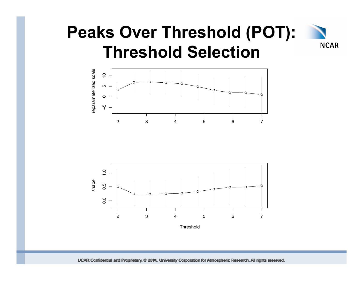#### **Peaks Over Threshold (POT): NCAR Threshold Selection**



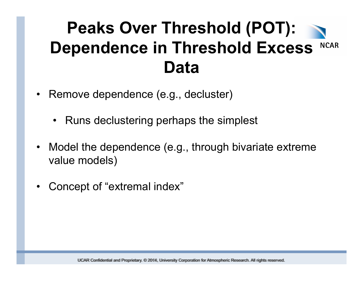- Remove dependence (e.g., decluster)
	- Runs declustering perhaps the simplest
- Model the dependence (e.g., through bivariate extreme value models)
- Concept of "extremal index"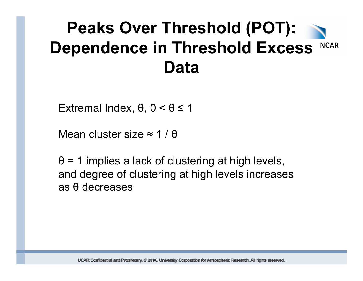Extremal Index, θ, 0 < θ ≤ 1

Mean cluster size  $\approx$  1/ $\theta$ 

 $\theta$  = 1 implies a lack of clustering at high levels, and degree of clustering at high levels increases as θ decreases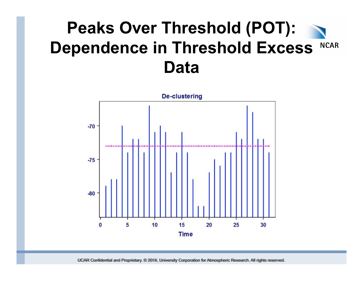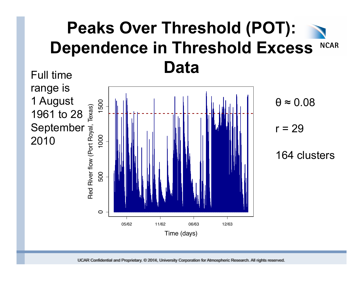

$$
\theta \approx 0.08
$$

 $r = 29$ 

164 clusters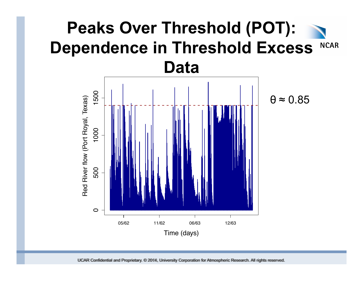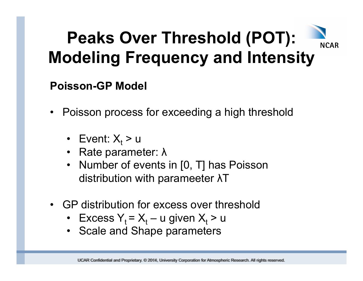#### **Poisson-GP Model**

- Poisson process for exceeding a high threshold
	- Event:  $X_t$  > u
	- Rate parameter: λ
	- Number of events in [0, T] has Poisson distribution with parameeter λT
- GP distribution for excess over threshold
	- Excess  $Y_t = X_t u$  given  $X_t > u$
	- Scale and Shape parameters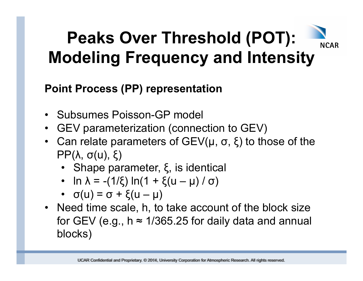# **NCAR**

# **Peaks Over Threshold (POT): Modeling Frequency and Intensity**

### **Point Process (PP) representation**

- Subsumes Poisson-GP model
- GEV parameterization (connection to GEV)
- Can relate parameters of  $GEV(\mu, \sigma, \xi)$  to those of the PP(λ, σ(u), ξ)
	- Shape parameter, ξ, is identical
	- ln  $\lambda = -(1/\xi) \ln(1 + \xi(u \mu)/\sigma)$
	- $\bullet$   $\sigma(u) = \sigma + \xi(u \mu)$
- Need time scale, h, to take account of the block size for GEV (e.g.,  $h \approx 1/365.25$  for daily data and annual blocks)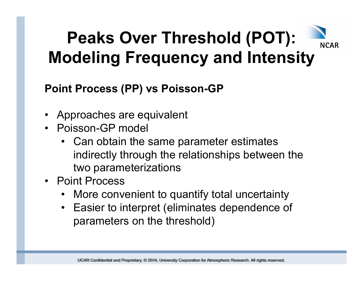#### **Point Process (PP) vs Poisson-GP**

- Approaches are equivalent
- Poisson-GP model
	- Can obtain the same parameter estimates indirectly through the relationships between the two parameterizations
- Point Process
	- More convenient to quantify total uncertainty
	- Easier to interpret (eliminates dependence of parameters on the threshold)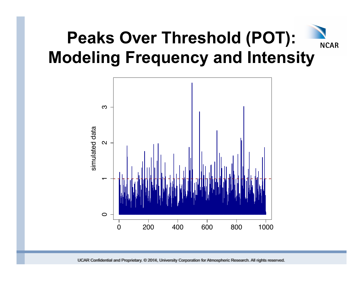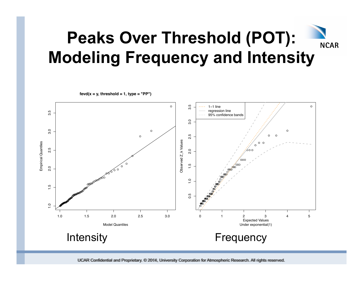$\circ$ rú 1−1 line ● 0.5 1.0 1.5 2.0 2.5 3.0 3.5 ന് regression line 3.5 1.0 1.5 2.0 2.5 3.0 3.5 95% confidence bands  $3.0$  $3.0$  $\circ$  $\circ$  $0$  0 2.5  $\circ$ Observed Z\_k Values Observed Z\_k Values Empirical Quantiles  $00$ Empirical Quantiles ● 2.5  $2.0$ . 60 c ●  $\overline{O}$ ● ● ● ● ● ● ●  $\frac{5}{1}$  $\mathscr{E}_{\infty}^{\infty}$  $2.0$ ●●●● O.  $\alpha$ ●●●● **@@e**eeooo  $\frac{1}{2}$  $^\mathrm{\circ}$ ●●●●●  $\ddot{1}$ ●● ●●●● ●●● **P**  $^\circledR$ **COOPERTS** 0.5 ●●●●●● ●●●●●● **PERED** ●●●●●●● ●●●●●●●●●●●●●●● ●  $\frac{1}{2}$ ● ●●  $\bullet$ 1.0 1.5 2.0 2.5 3.0 0 1 2 3 4 5 Expected Values Model Quantiles Under exponential(1) Intensity **Frequency** 

 $fevd(x = y, threshold = 1, type = "PP")$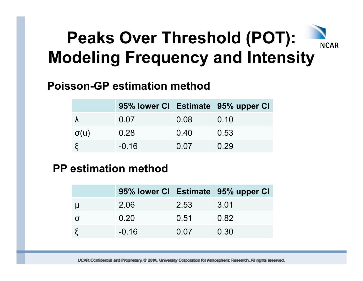# **NCAR**

# **Peaks Over Threshold (POT): Modeling Frequency and Intensity**

#### **Poisson-GP estimation method**

|             |         |      | 95% lower CI Estimate 95% upper CI |
|-------------|---------|------|------------------------------------|
|             | 0.07    | 0.08 | 0.10                               |
| $\sigma(u)$ | 0.28    | 0.40 | 0.53                               |
|             | $-0.16$ | 0.07 | 0.29                               |

#### **PP estimation method**

|         |      | 95% lower CI Estimate 95% upper CI |
|---------|------|------------------------------------|
| 2.06    | 2.53 | 3.01                               |
| 0.20    | 0.51 | 0.82                               |
| $-0.16$ | 0.07 | 0.30                               |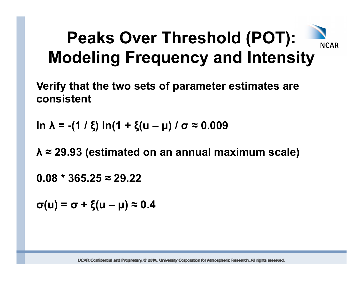**Verify that the two sets of parameter estimates are consistent** 

**ln λ = -(1 / ξ) ln(1 + ξ(u – µ) / σ ≈ 0.009** 

**λ ≈ 29.93 (estimated on an annual maximum scale)** 

**0.08 \* 365.25 ≈ 29.22** 

**σ(u) = σ + ξ(u – µ) ≈ 0.4**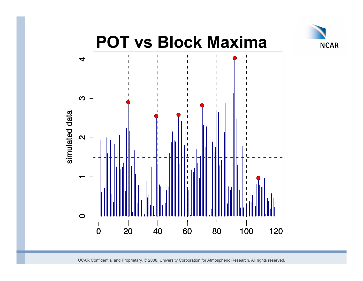

# **POT vs Block Maxima**